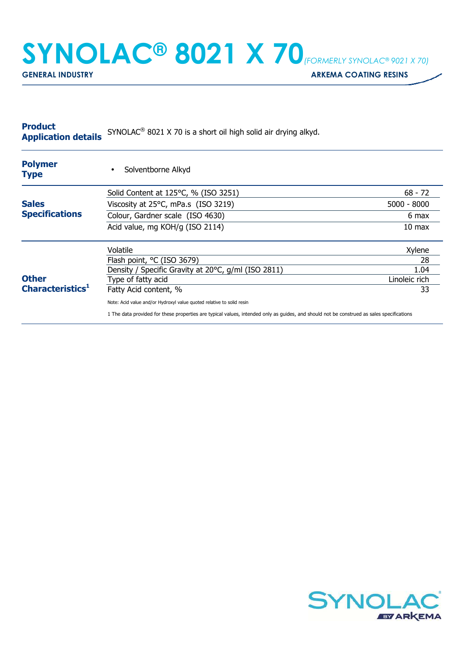## **SYNOLAC® 8021 X 70***(FORMERLY SYNOLAC® 9021 X 70)*

**GENERAL INDUSTRY GENERAL INDUSTRY ARKEMA COATING RESINS** 

| <b>Product</b><br><b>Application details</b> | SYNOLAC <sup>®</sup> 8021 X 70 is a short oil high solid air drying alkyd.                                                                |                  |
|----------------------------------------------|-------------------------------------------------------------------------------------------------------------------------------------------|------------------|
| <b>Polymer</b><br><b>Type</b>                | Solventborne Alkyd<br>$\bullet$                                                                                                           |                  |
|                                              | Solid Content at 125°C, % (ISO 3251)                                                                                                      | $68 - 72$        |
| <b>Sales</b>                                 | Viscosity at 25°C, mPa.s (ISO 3219)                                                                                                       | $5000 - 8000$    |
| <b>Specifications</b>                        | Colour, Gardner scale (ISO 4630)                                                                                                          | 6 max            |
|                                              | Acid value, mg KOH/g (ISO 2114)                                                                                                           | $10 \text{ max}$ |
|                                              | Volatile                                                                                                                                  | Xylene           |
|                                              | Flash point, °C (ISO 3679)                                                                                                                | 28               |
|                                              | Density / Specific Gravity at 20°C, g/ml (ISO 2811)                                                                                       | 1.04             |
| <b>Other</b>                                 | Type of fatty acid                                                                                                                        | Linoleic rich    |
| Characteristics <sup>1</sup>                 | Fatty Acid content, %                                                                                                                     | 33               |
|                                              | Note: Acid value and/or Hydroxyl value quoted relative to solid resin                                                                     |                  |
|                                              | 1 The data provided for these properties are typical values, intended only as quides, and should not be construed as sales specifications |                  |